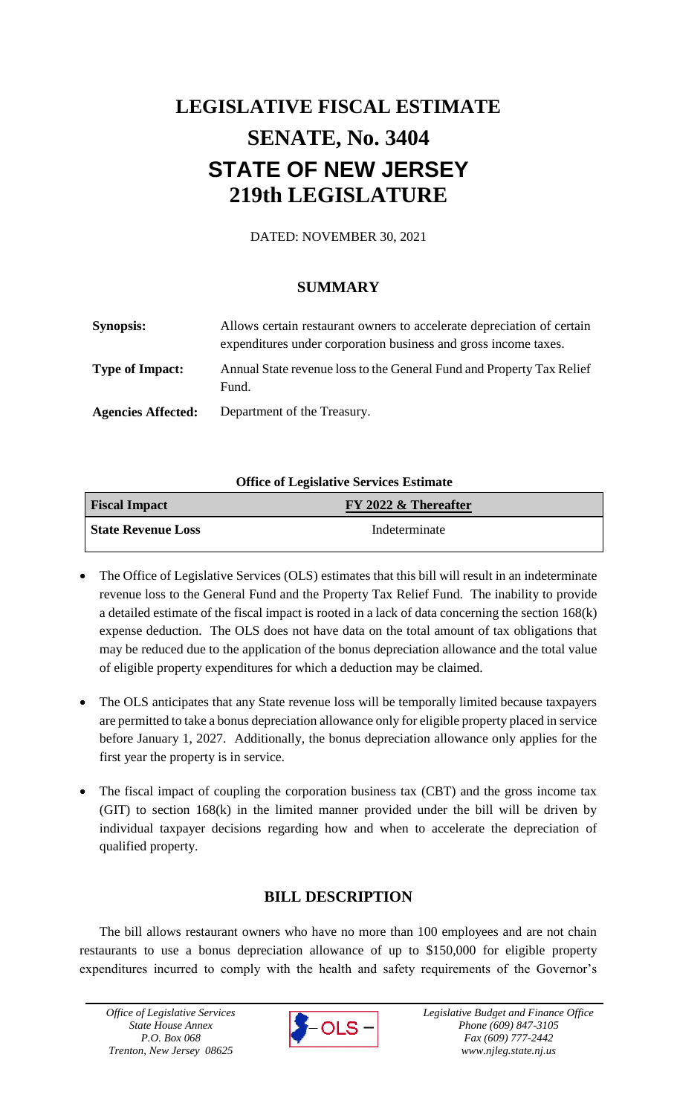# **LEGISLATIVE FISCAL ESTIMATE SENATE, No. 3404 STATE OF NEW JERSEY 219th LEGISLATURE**

DATED: NOVEMBER 30, 2021

## **SUMMARY**

| <b>Synopsis:</b>          | Allows certain restaurant owners to accelerate depreciation of certain<br>expenditures under corporation business and gross income taxes. |
|---------------------------|-------------------------------------------------------------------------------------------------------------------------------------------|
| <b>Type of Impact:</b>    | Annual State revenue loss to the General Fund and Property Tax Relief<br>Fund.                                                            |
| <b>Agencies Affected:</b> | Department of the Treasury.                                                                                                               |

### **Office of Legislative Services Estimate**

| <b>Fiscal Impact</b>      | FY 2022 & Thereafter |
|---------------------------|----------------------|
| <b>State Revenue Loss</b> | Indeterminate        |

- The Office of Legislative Services (OLS) estimates that this bill will result in an indeterminate revenue loss to the General Fund and the Property Tax Relief Fund. The inability to provide a detailed estimate of the fiscal impact is rooted in a lack of data concerning the section 168(k) expense deduction. The OLS does not have data on the total amount of tax obligations that may be reduced due to the application of the bonus depreciation allowance and the total value of eligible property expenditures for which a deduction may be claimed.
- The OLS anticipates that any State revenue loss will be temporally limited because taxpayers are permitted to take a bonus depreciation allowance only for eligible property placed in service before January 1, 2027. Additionally, the bonus depreciation allowance only applies for the first year the property is in service.
- The fiscal impact of coupling the corporation business tax (CBT) and the gross income tax (GIT) to section 168(k) in the limited manner provided under the bill will be driven by individual taxpayer decisions regarding how and when to accelerate the depreciation of qualified property.

## **BILL DESCRIPTION**

The bill allows restaurant owners who have no more than 100 employees and are not chain restaurants to use a bonus depreciation allowance of up to \$150,000 for eligible property expenditures incurred to comply with the health and safety requirements of the Governor's

*Office of Legislative Services State House Annex P.O. Box 068 Trenton, New Jersey 08625*

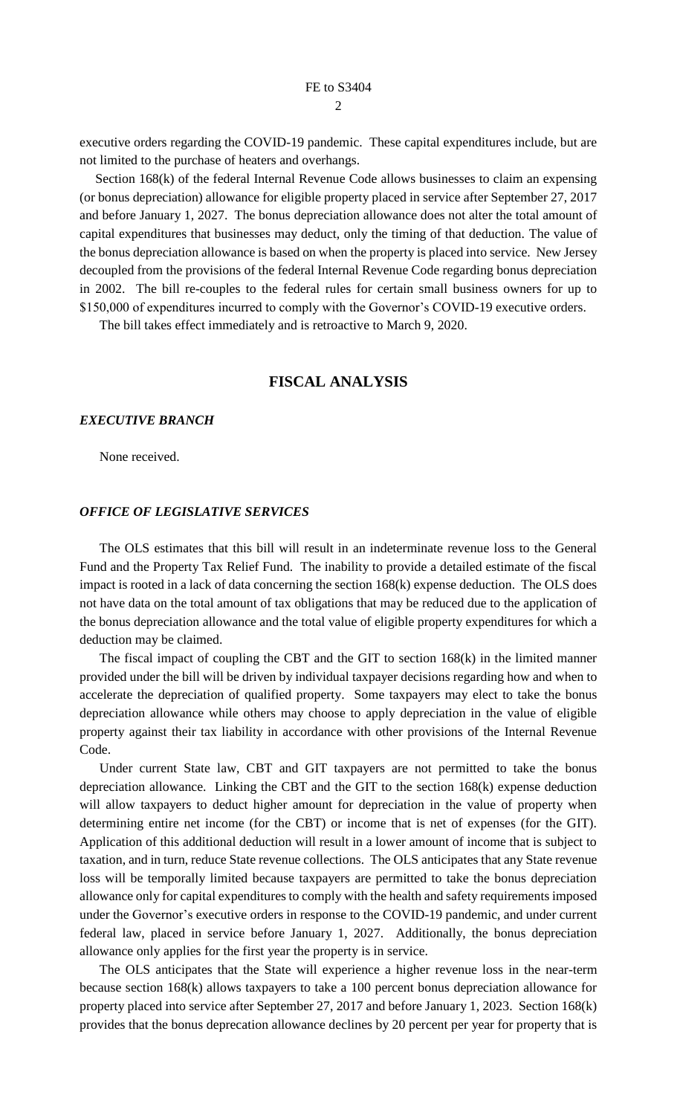executive orders regarding the COVID-19 pandemic. These capital expenditures include, but are not limited to the purchase of heaters and overhangs.

Section 168(k) of the federal Internal Revenue Code allows businesses to claim an expensing (or bonus depreciation) allowance for eligible property placed in service after September 27, 2017 and before January 1, 2027. The bonus depreciation allowance does not alter the total amount of capital expenditures that businesses may deduct, only the timing of that deduction. The value of the bonus depreciation allowance is based on when the property is placed into service. New Jersey decoupled from the provisions of the federal Internal Revenue Code regarding bonus depreciation in 2002. The bill re-couples to the federal rules for certain small business owners for up to \$150,000 of expenditures incurred to comply with the Governor's COVID-19 executive orders.

The bill takes effect immediately and is retroactive to March 9, 2020.

#### **FISCAL ANALYSIS**

#### *EXECUTIVE BRANCH*

None received.

#### *OFFICE OF LEGISLATIVE SERVICES*

The OLS estimates that this bill will result in an indeterminate revenue loss to the General Fund and the Property Tax Relief Fund. The inability to provide a detailed estimate of the fiscal impact is rooted in a lack of data concerning the section 168(k) expense deduction. The OLS does not have data on the total amount of tax obligations that may be reduced due to the application of the bonus depreciation allowance and the total value of eligible property expenditures for which a deduction may be claimed.

The fiscal impact of coupling the CBT and the GIT to section 168(k) in the limited manner provided under the bill will be driven by individual taxpayer decisions regarding how and when to accelerate the depreciation of qualified property. Some taxpayers may elect to take the bonus depreciation allowance while others may choose to apply depreciation in the value of eligible property against their tax liability in accordance with other provisions of the Internal Revenue Code.

Under current State law, CBT and GIT taxpayers are not permitted to take the bonus depreciation allowance. Linking the CBT and the GIT to the section 168(k) expense deduction will allow taxpayers to deduct higher amount for depreciation in the value of property when determining entire net income (for the CBT) or income that is net of expenses (for the GIT). Application of this additional deduction will result in a lower amount of income that is subject to taxation, and in turn, reduce State revenue collections. The OLS anticipates that any State revenue loss will be temporally limited because taxpayers are permitted to take the bonus depreciation allowance only for capital expenditures to comply with the health and safety requirements imposed under the Governor's executive orders in response to the COVID-19 pandemic, and under current federal law, placed in service before January 1, 2027. Additionally, the bonus depreciation allowance only applies for the first year the property is in service.

The OLS anticipates that the State will experience a higher revenue loss in the near-term because section 168(k) allows taxpayers to take a 100 percent bonus depreciation allowance for property placed into service after September 27, 2017 and before January 1, 2023. Section 168(k) provides that the bonus deprecation allowance declines by 20 percent per year for property that is